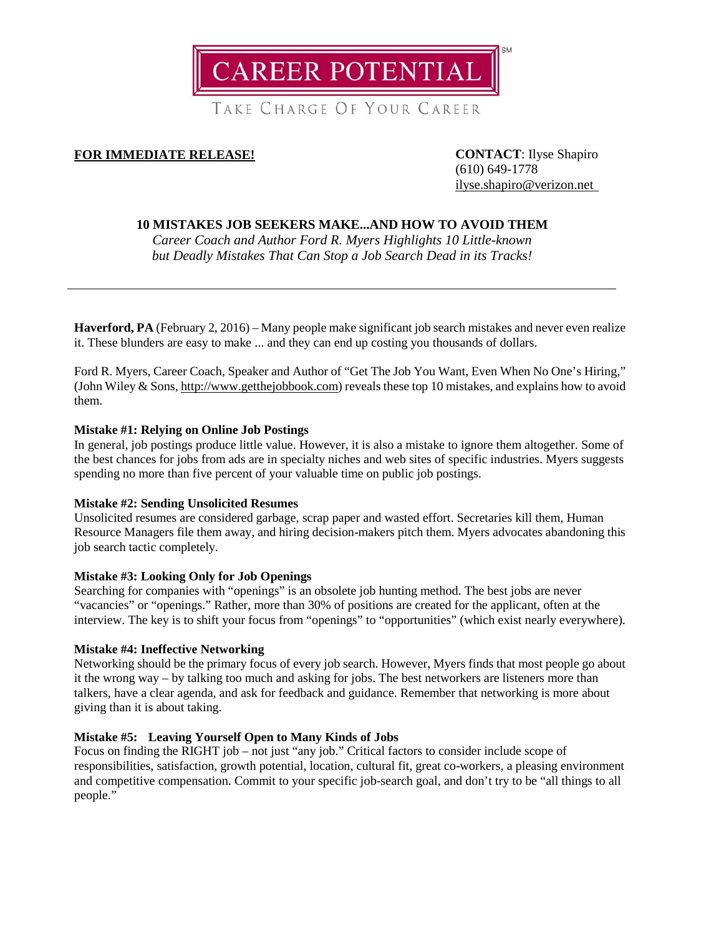

TAKE CHARGE OF YOUR CAREER

# **FOR IMMEDIATE RELEASE! CONTACT**: Ilyse Shapiro

(610) 649-1778 [ilyse.shapiro@verizon.net](mailto:ilyse.shapiro@verizon.net)

# **10 MISTAKES JOB SEEKERS MAKE...AND HOW TO AVOID THEM**

*Career Coach and Author Ford R. Myers Highlights 10 Little-known but Deadly Mistakes That Can Stop a Job Search Dead in its Tracks!*

**Haverford, PA** (February 2, 2016) – Many people make significant job search mistakes and never even realize it. These blunders are easy to make ... and they can end up costing you thousands of dollars.

Ford R. Myers, Career Coach, Speaker and Author of "Get The Job You Want, Even When No One's Hiring," (John Wiley & Sons, [http://www.getthejobbook.com\)](http://www.getthejobbook.com/) reveals these top 10 mistakes, and explains how to avoid them.

## **Mistake #1: Relying on Online Job Postings**

In general, job postings produce little value. However, it is also a mistake to ignore them altogether. Some of the best chances for jobs from ads are in specialty niches and web sites of specific industries. Myers suggests spending no more than five percent of your valuable time on public job postings.

## **Mistake #2: Sending Unsolicited Resumes**

Unsolicited resumes are considered garbage, scrap paper and wasted effort. Secretaries kill them, Human Resource Managers file them away, and hiring decision-makers pitch them. Myers advocates abandoning this job search tactic completely.

## **Mistake #3: Looking Only for Job Openings**

Searching for companies with "openings" is an obsolete job hunting method. The best jobs are never "vacancies" or "openings." Rather, more than 30% of positions are created for the applicant, often at the interview. The key is to shift your focus from "openings" to "opportunities" (which exist nearly everywhere).

## **Mistake #4: Ineffective Networking**

Networking should be the primary focus of every job search. However, Myers finds that most people go about it the wrong way – by talking too much and asking for jobs. The best networkers are listeners more than talkers, have a clear agenda, and ask for feedback and guidance. Remember that networking is more about giving than it is about taking.

## **Mistake #5: Leaving Yourself Open to Many Kinds of Jobs**

Focus on finding the RIGHT job – not just "any job." Critical factors to consider include scope of responsibilities, satisfaction, growth potential, location, cultural fit, great co-workers, a pleasing environment and competitive compensation. Commit to your specific job-search goal, and don't try to be "all things to all people."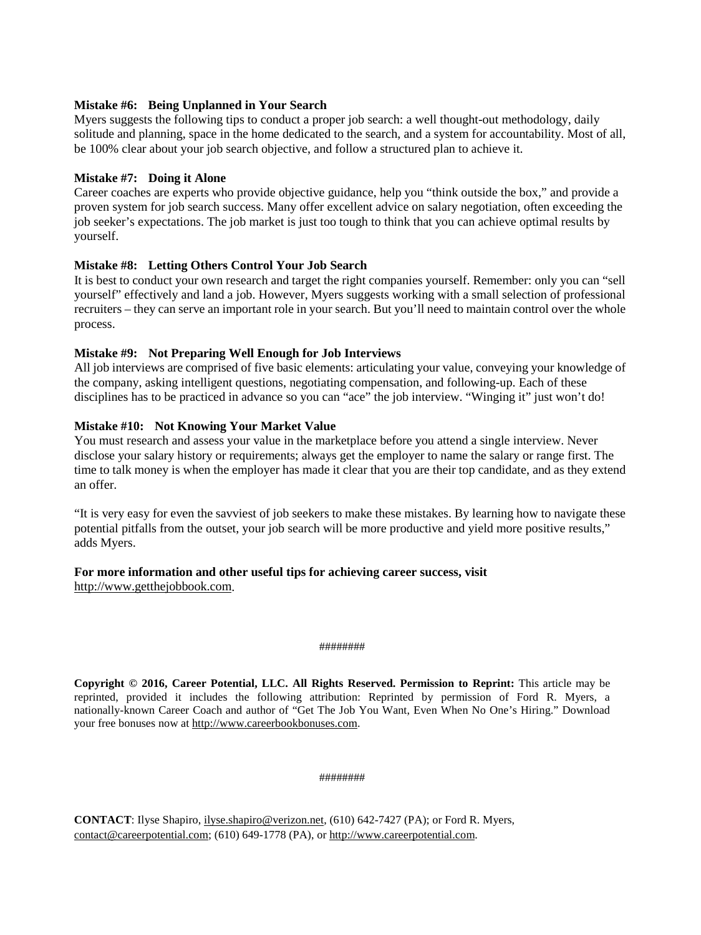## **Mistake #6: Being Unplanned in Your Search**

Myers suggests the following tips to conduct a proper job search: a well thought-out methodology, daily solitude and planning, space in the home dedicated to the search, and a system for accountability. Most of all, be 100% clear about your job search objective, and follow a structured plan to achieve it.

# **Mistake #7: Doing it Alone**

Career coaches are experts who provide objective guidance, help you "think outside the box," and provide a proven system for job search success. Many offer excellent advice on salary negotiation, often exceeding the job seeker's expectations. The job market is just too tough to think that you can achieve optimal results by yourself.

# **Mistake #8: Letting Others Control Your Job Search**

It is best to conduct your own research and target the right companies yourself. Remember: only you can "sell yourself" effectively and land a job. However, Myers suggests working with a small selection of professional recruiters – they can serve an important role in your search. But you'll need to maintain control over the whole process.

# **Mistake #9: Not Preparing Well Enough for Job Interviews**

All job interviews are comprised of five basic elements: articulating your value, conveying your knowledge of the company, asking intelligent questions, negotiating compensation, and following-up. Each of these disciplines has to be practiced in advance so you can "ace" the job interview. "Winging it" just won't do!

# **Mistake #10: Not Knowing Your Market Value**

You must research and assess your value in the marketplace before you attend a single interview. Never disclose your salary history or requirements; always get the employer to name the salary or range first. The time to talk money is when the employer has made it clear that you are their top candidate, and as they extend an offer.

"It is very easy for even the savviest of job seekers to make these mistakes. By learning how to navigate these potential pitfalls from the outset, your job search will be more productive and yield more positive results," adds Myers.

# **For more information and other useful tips for achieving career success, visit**

[http://www.getthejobbook.com.](http://www.getthejobbook.com/)

#### ########

**Copyright © 2016, Career Potential, LLC. All Rights Reserved. Permission to Reprint:** This article may be reprinted, provided it includes the following attribution: Reprinted by permission of Ford R. Myers, a nationally-known Career Coach and author of "Get The Job You Want, Even When No One's Hiring." Download your free bonuses now at [http://www.careerbookbonuses.com.](http://www.careerbookbonuses.com/)

#### ########

**CONTACT**: Ilyse Shapiro, [ilyse.shapiro@verizon.net,](mailto:ilyse.shapiro@verizon.net) (610) 642-7427 (PA); or Ford R. Myers, [contact@careerpotential.com;](mailto:contact@careerpotential.com) (610) 649-1778 (PA), o[r http://www.careerpotential.com.](http://www.careerpotential.com/)